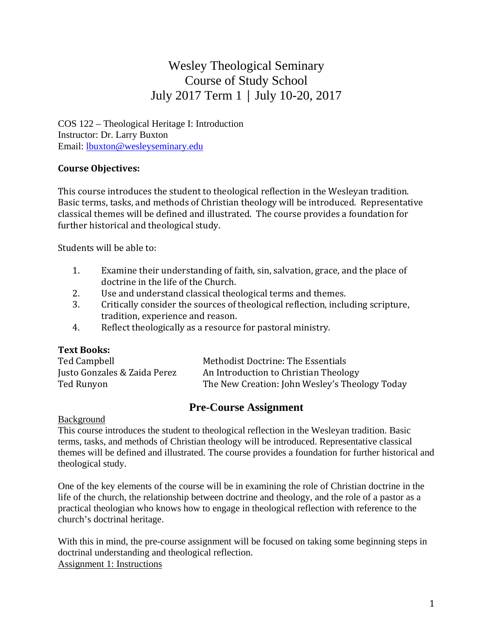# Wesley Theological Seminary Course of Study School July 2017 Term 1 │ July 10-20, 2017

COS 122 – Theological Heritage I: Introduction Instructor: Dr. Larry Buxton Email: lbuxton@wesleyseminary.edu

# **Course Objectives:**

This course introduces the student to theological reflection in the Wesleyan tradition. Basic terms, tasks, and methods of Christian theology will be introduced. Representative classical themes will be defined and illustrated. The course provides a foundation for further historical and theological study.

Students will be able to:

- 1. Examine their understanding of faith, sin, salvation, grace, and the place of doctrine in the life of the Church.
- 2. Use and understand classical theological terms and themes.
- 3. Critically consider the sources of theological reflection, including scripture, tradition, experience and reason.
- 4. Reflect theologically as a resource for pastoral ministry.

## **Text Books:**

| Ted Campbell                 | Methodist Doctrine: The Essentials             |
|------------------------------|------------------------------------------------|
| Justo Gonzales & Zaida Perez | An Introduction to Christian Theology          |
| Ted Runyon                   | The New Creation: John Wesley's Theology Today |

# **Pre-Course Assignment**

#### Background

This course introduces the student to theological reflection in the Wesleyan tradition. Basic terms, tasks, and methods of Christian theology will be introduced. Representative classical themes will be defined and illustrated. The course provides a foundation for further historical and theological study.

One of the key elements of the course will be in examining the role of Christian doctrine in the life of the church, the relationship between doctrine and theology, and the role of a pastor as a practical theologian who knows how to engage in theological reflection with reference to the church's doctrinal heritage.

With this in mind, the pre-course assignment will be focused on taking some beginning steps in doctrinal understanding and theological reflection. Assignment 1: Instructions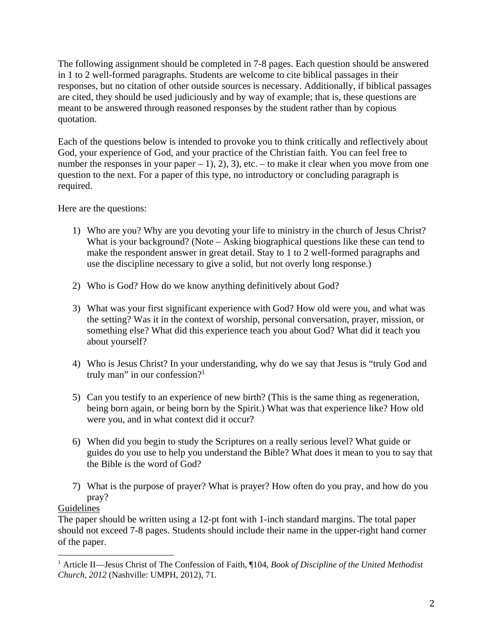The following assignment should be completed in 7-8 pages. Each question should be answered in 1 to 2 well-formed paragraphs. Students are welcome to cite biblical passages in their responses, but no citation of other outside sources is necessary. Additionally, if biblical passages are cited, they should be used judiciously and by way of example; that is, these questions are meant to be answered through reasoned responses by the student rather than by copious quotation.

Each of the questions below is intended to provoke you to think critically and reflectively about God, your experience of God, and your practice of the Christian faith. You can feel free to number the responses in your paper – 1), 2), 3), etc. – to make it clear when you move from one question to the next. For a paper of this type, no introductory or concluding paragraph is required.

Here are the questions:

- 1) Who are you? Why are you devoting your life to ministry in the church of Jesus Christ? What is your background? (Note – Asking biographical questions like these can tend to make the respondent answer in great detail. Stay to 1 to 2 well-formed paragraphs and use the discipline necessary to give a solid, but not overly long response.)
- 2) Who is God? How do we know anything definitively about God?
- 3) What was your first significant experience with God? How old were you, and what was the setting? Was it in the context of worship, personal conversation, prayer, mission, or something else? What did this experience teach you about God? What did it teach you about yourself?
- 4) Who is Jesus Christ? In your understanding, why do we say that Jesus is "truly God and truly man" in our confession? $1$
- 5) Can you testify to an experience of new birth? (This is the same thing as regeneration, being born again, or being born by the Spirit.) What was that experience like? How old were you, and in what context did it occur?
- 6) When did you begin to study the Scriptures on a really serious level? What guide or guides do you use to help you understand the Bible? What does it mean to you to say that the Bible is the word of God?
- 7) What is the purpose of prayer? What is prayer? How often do you pray, and how do you pray?

## **Guidelines**

 

The paper should be written using a 12-pt font with 1-inch standard margins. The total paper should not exceed 7-8 pages. Students should include their name in the upper-right hand corner of the paper.

<sup>&</sup>lt;sup>1</sup> Article II—Jesus Christ of The Confession of Faith, ¶104, *Book of Discipline of the United Methodist Church, 2012* (Nashville: UMPH, 2012), 71.